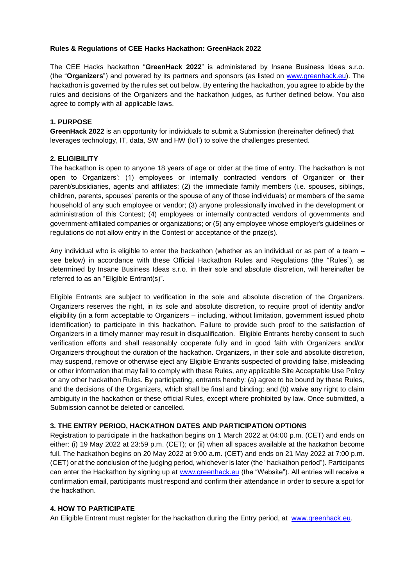### **Rules & Regulations of CEE Hacks Hackathon: GreenHack 2022**

The CEE Hacks hackathon "**GreenHack 2022**" is administered by Insane Business Ideas s.r.o. (the "**Organizers**") and powered by its partners and sponsors (as listed on [www.greenhack.eu\)](https://www.greenhack.eu/). The hackathon is governed by the rules set out below. By entering the hackathon, you agree to abide by the rules and decisions of the Organizers and the hackathon judges, as further defined below. You also agree to comply with all applicable laws.

### **1. PURPOSE**

**GreenHack 2022** is an opportunity for individuals to submit a Submission (hereinafter defined) that leverages technology, IT, data, SW and HW (IoT) to solve the challenges presented.

### **2. ELIGIBILITY**

The hackathon is open to anyone 18 years of age or older at the time of entry. The hackathon is not open to Organizers': (1) employees or internally contracted vendors of Organizer or their parent/subsidiaries, agents and affiliates; (2) the immediate family members (i.e. spouses, siblings, children, parents, spouses' parents or the spouse of any of those individuals) or members of the same household of any such employee or vendor; (3) anyone professionally involved in the development or administration of this Contest; (4) employees or internally contracted vendors of governments and government-affiliated companies or organizations; or (5) any employee whose employer's guidelines or regulations do not allow entry in the Contest or acceptance of the prize(s).

Any individual who is eligible to enter the hackathon (whether as an individual or as part of a team – see below) in accordance with these Official Hackathon Rules and Regulations (the "Rules"), as determined by Insane Business Ideas s.r.o. in their sole and absolute discretion, will hereinafter be referred to as an "Eligible Entrant(s)".

Eligible Entrants are subject to verification in the sole and absolute discretion of the Organizers. Organizers reserves the right, in its sole and absolute discretion, to require proof of identity and/or eligibility (in a form acceptable to Organizers – including, without limitation, government issued photo identification) to participate in this hackathon. Failure to provide such proof to the satisfaction of Organizers in a timely manner may result in disqualification. Eligible Entrants hereby consent to such verification efforts and shall reasonably cooperate fully and in good faith with Organizers and/or Organizers throughout the duration of the hackathon. Organizers, in their sole and absolute discretion, may suspend, remove or otherwise eject any Eligible Entrants suspected of providing false, misleading or other information that may fail to comply with these Rules, any applicable Site Acceptable Use Policy or any other hackathon Rules. By participating, entrants hereby: (a) agree to be bound by these Rules, and the decisions of the Organizers, which shall be final and binding; and (b) waive any right to claim ambiguity in the hackathon or these official Rules, except where prohibited by law. Once submitted, a Submission cannot be deleted or cancelled.

### **3. THE ENTRY PERIOD, HACKATHON DATES AND PARTICIPATION OPTIONS**

Registration to participate in the hackathon begins on 1 March 2022 at 04:00 p.m. (CET) and ends on either: (i) 19 May 2022 at 23:59 p.m. (CET); or (ii) when all spaces available at the hackathon become full. The hackathon begins on 20 May 2022 at 9:00 a.m. (CET) and ends on 21 May 2022 at 7:00 p.m. (CET) or at the conclusion of the judging period, whichever is later (the "hackathon period"). Participants can enter the Hackathon by signing up at [www.greenhack.eu](http://www.ceehacks.com/) (the "Website"). All entries will receive a confirmation email, participants must respond and confirm their attendance in order to secure a spot for the hackathon.

#### **4. HOW TO PARTICIPATE**

An Eligible Entrant must register for the hackathon during the Entry period, [at](http://www.ceehacks.com/) [www.greenhack.eu.](https://www.greenhack.eu/)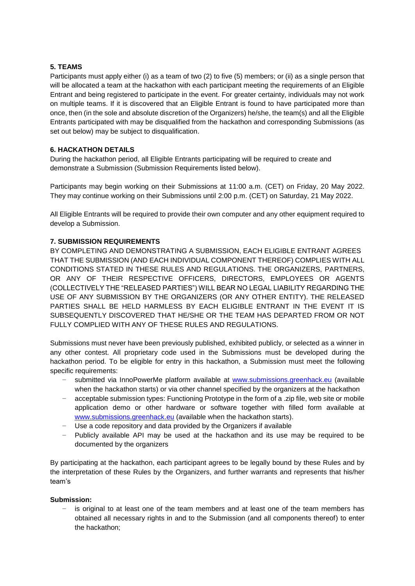## **5. TEAMS**

Participants must apply either (i) as a team of two (2) to five (5) members; or (ii) as a single person that will be allocated a team at the hackathon with each participant meeting the requirements of an Eligible Entrant and being registered to participate in the event. For greater certainty, individuals may not work on multiple teams. If it is discovered that an Eligible Entrant is found to have participated more than once, then (in the sole and absolute discretion of the Organizers) he/she, the team(s) and all the Eligible Entrants participated with may be disqualified from the hackathon and corresponding Submissions (as set out below) may be subject to disqualification.

# **6. HACKATHON DETAILS**

During the hackathon period, all Eligible Entrants participating will be required to create and demonstrate a Submission (Submission Requirements listed below).

Participants may begin working on their Submissions at 11:00 a.m. (CET) on Friday, 20 May 2022. They may continue working on their Submissions until 2:00 p.m. (CET) on Saturday, 21 May 2022.

All Eligible Entrants will be required to provide their own computer and any other equipment required to develop a Submission.

# **7. SUBMISSION REQUIREMENTS**

BY COMPLETING AND DEMONSTRATING A SUBMISSION, EACH ELIGIBLE ENTRANT AGREES THAT THE SUBMISSION (AND EACH INDIVIDUAL COMPONENT THEREOF) COMPLIES WITH ALL CONDITIONS STATED IN THESE RULES AND REGULATIONS. THE ORGANIZERS, PARTNERS, OR ANY OF THEIR RESPECTIVE OFFICERS, DIRECTORS, EMPLOYEES OR AGENTS (COLLECTIVELY THE "RELEASED PARTIES") WILL BEAR NO LEGAL LIABILITY REGARDING THE USE OF ANY SUBMISSION BY THE ORGANIZERS (OR ANY OTHER ENTITY). THE RELEASED PARTIES SHALL BE HELD HARMLESS BY EACH ELIGIBLE ENTRANT IN THE EVENT IT IS SUBSEQUENTLY DISCOVERED THAT HE/SHE OR THE TEAM HAS DEPARTED FROM OR NOT FULLY COMPLIED WITH ANY OF THESE RULES AND REGULATIONS.

Submissions must never have been previously published, exhibited publicly, or selected as a winner in any other contest. All proprietary code used in the Submissions must be developed during the hackathon period. To be eligible for entry in this hackathon, a Submission must meet the following specific requirements:

- − submitted vi[a](http://www.ceehacks.com/) InnoPowerMe platform available at [www.submissions.greenhack.eu](http://www.submissions.greenhack.eu/) (available when the hackathon starts) or via other channel specified by the organizers at the hackathon
- − acceptable submission types: Functioning Prototype in the form of a .zip file, web site or mobile application demo or other hardware or software together with filled form available at [www.submissions.greenhack.eu](http://www.submissions.greenhack.eu/) (available when the hackathon starts).
- − Use a code repository and data provided by the Organizers if available
- − Publicly available API may be used at the hackathon and its use may be required to be documented by the organizers

By participating at the hackathon, each participant agrees to be legally bound by these Rules and by the interpretation of these Rules by the Organizers, and further warrants and represents that his/her team's

### **Submission:**

is original to at least one of the team members and at least one of the team members has obtained all necessary rights in and to the Submission (and all components thereof) to enter the hackathon;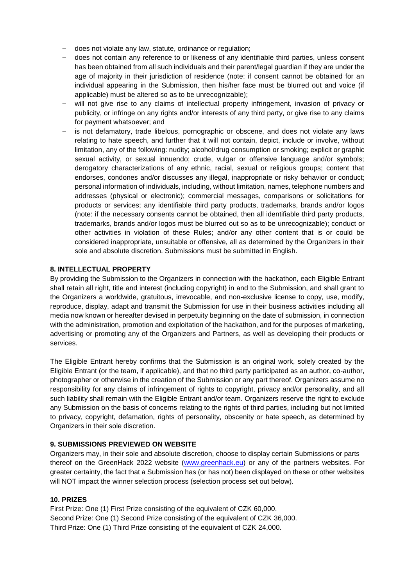- − does not violate any law, statute, ordinance or regulation;
- − does not contain any reference to or likeness of any identifiable third parties, unless consent has been obtained from all such individuals and their parent/legal guardian if they are under the age of majority in their jurisdiction of residence (note: if consent cannot be obtained for an individual appearing in the Submission, then his/her face must be blurred out and voice (if applicable) must be altered so as to be unrecognizable);
- will not give rise to any claims of intellectual property infringement, invasion of privacy or publicity, or infringe on any rights and/or interests of any third party, or give rise to any claims for payment whatsoever; and
- is not defamatory, trade libelous, pornographic or obscene, and does not violate any laws relating to hate speech, and further that it will not contain, depict, include or involve, without limitation, any of the following: nudity; alcohol/drug consumption or smoking; explicit or graphic sexual activity, or sexual innuendo; crude, vulgar or offensive language and/or symbols; derogatory characterizations of any ethnic, racial, sexual or religious groups; content that endorses, condones and/or discusses any illegal, inappropriate or risky behavior or conduct; personal information of individuals, including, without limitation, names, telephone numbers and addresses (physical or electronic); commercial messages, comparisons or solicitations for products or services; any identifiable third party products, trademarks, brands and/or logos (note: if the necessary consents cannot be obtained, then all identifiable third party products, trademarks, brands and/or logos must be blurred out so as to be unrecognizable); conduct or other activities in violation of these Rules; and/or any other content that is or could be considered inappropriate, unsuitable or offensive, all as determined by the Organizers in their sole and absolute discretion. Submissions must be submitted in English.

### **8. INTELLECTUAL PROPERTY**

By providing the Submission to the Organizers in connection with the hackathon, each Eligible Entrant shall retain all right, title and interest (including copyright) in and to the Submission, and shall grant to the Organizers a worldwide, gratuitous, irrevocable, and non-exclusive license to copy, use, modify, reproduce, display, adapt and transmit the Submission for use in their business activities including all media now known or hereafter devised in perpetuity beginning on the date of submission, in connection with the administration, promotion and exploitation of the hackathon, and for the purposes of marketing, advertising or promoting any of the Organizers and Partners, as well as developing their products or services.

The Eligible Entrant hereby confirms that the Submission is an original work, solely created by the Eligible Entrant (or the team, if applicable), and that no third party participated as an author, co-author, photographer or otherwise in the creation of the Submission or any part thereof. Organizers assume no responsibility for any claims of infringement of rights to copyright, privacy and/or personality, and all such liability shall remain with the Eligible Entrant and/or team. Organizers reserve the right to exclude any Submission on the basis of concerns relating to the rights of third parties, including but not limited to privacy, copyright, defamation, rights of personality, obscenity or hate speech, as determined by Organizers in their sole discretion.

#### **9. SUBMISSIONS PREVIEWED ON WEBSITE**

Organizers may, in their sole and absolute discretion, choose to display certain Submissions or parts thereof on the GreenHack 2022 website [\(www.greenhack.eu\)](https://www.greenhack.eu/) or any of the partners websites. For greater certainty, the fact that a Submission has (or has not) been displayed on these or other websites will NOT impact the winner selection process (selection process set out below).

#### **10. PRIZES**

First Prize: One (1) First Prize consisting of the equivalent of CZK 60,000. Second Prize: One (1) Second Prize consisting of the equivalent of CZK 36,000. Third Prize: One (1) Third Prize consisting of the equivalent of CZK 24,000.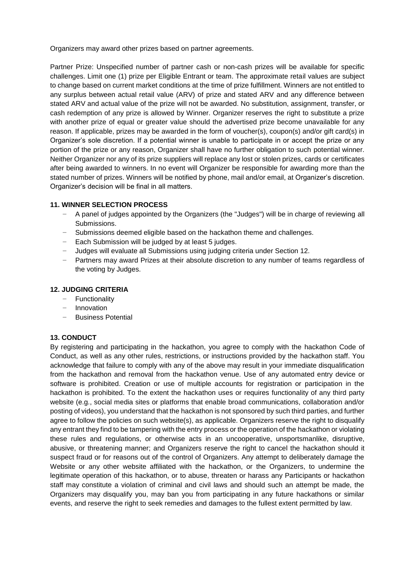Organizers may award other prizes based on partner agreements.

Partner Prize: Unspecified number of partner cash or non-cash prizes will be available for specific challenges. Limit one (1) prize per Eligible Entrant or team. The approximate retail values are subject to change based on current market conditions at the time of prize fulfillment. Winners are not entitled to any surplus between actual retail value (ARV) of prize and stated ARV and any difference between stated ARV and actual value of the prize will not be awarded. No substitution, assignment, transfer, or cash redemption of any prize is allowed by Winner. Organizer reserves the right to substitute a prize with another prize of equal or greater value should the advertised prize become unavailable for any reason. If applicable, prizes may be awarded in the form of voucher(s), coupon(s) and/or gift card(s) in Organizer's sole discretion. If a potential winner is unable to participate in or accept the prize or any portion of the prize or any reason, Organizer shall have no further obligation to such potential winner. Neither Organizer nor any of its prize suppliers will replace any lost or stolen prizes, cards or certificates after being awarded to winners. In no event will Organizer be responsible for awarding more than the stated number of prizes. Winners will be notified by phone, mail and/or email, at Organizer's discretion. Organizer's decision will be final in all matters.

# **11. WINNER SELECTION PROCESS**

- − A panel of judges appointed by the Organizers (the "Judges") will be in charge of reviewing all Submissions.
- − Submissions deemed eligible based on the hackathon theme and challenges.
- − Each Submission will be judged by at least 5 judges.
- − Judges will evaluate all Submissions using judging criteria under Section 12.
- − Partners may award Prizes at their absolute discretion to any number of teams regardless of the voting by Judges.

### **12. JUDGING CRITERIA**

- − Functionality
- − Innovation
- − Business Potential

### **13. CONDUCT**

By registering and participating in the hackathon, you agree to comply with the hackathon Code of Conduct, as well as any other rules, restrictions, or instructions provided by the hackathon staff. You acknowledge that failure to comply with any of the above may result in your immediate disqualification from the hackathon and removal from the hackathon venue. Use of any automated entry device or software is prohibited. Creation or use of multiple accounts for registration or participation in the hackathon is prohibited. To the extent the hackathon uses or requires functionality of any third party website (e.g., social media sites or platforms that enable broad communications, collaboration and/or posting of videos), you understand that the hackathon is not sponsored by such third parties, and further agree to follow the policies on such website(s), as applicable. Organizers reserve the right to disqualify any entrant they find to be tampering with the entry process or the operation of the hackathon or violating these rules and regulations, or otherwise acts in an uncooperative, unsportsmanlike, disruptive, abusive, or threatening manner; and Organizers reserve the right to cancel the hackathon should it suspect fraud or for reasons out of the control of Organizers. Any attempt to deliberately damage the Website or any other website affiliated with the hackathon, or the Organizers, to undermine the legitimate operation of this hackathon, or to abuse, threaten or harass any Participants or hackathon staff may constitute a violation of criminal and civil laws and should such an attempt be made, the Organizers may disqualify you, may ban you from participating in any future hackathons or similar events, and reserve the right to seek remedies and damages to the fullest extent permitted by law.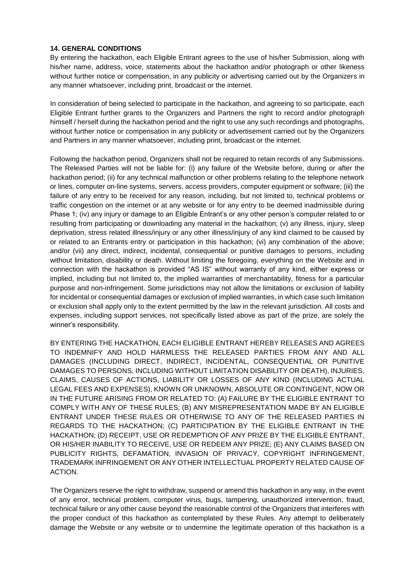# **14. GENERAL CONDITIONS**

By entering the hackathon, each Eligible Entrant agrees to the use of his/her Submission, along with his/her name, address, voice, statements about the hackathon and/or photograph or other likeness without further notice or compensation, in any publicity or advertising carried out by the Organizers in any manner whatsoever, including print, broadcast or the internet.

In consideration of being selected to participate in the hackathon, and agreeing to so participate, each Eligible Entrant further grants to the Organizers and Partners the right to record and/or photograph himself / herself during the hackathon period and the right to use any such recordings and photographs, without further notice or compensation in any publicity or advertisement carried out by the Organizers and Partners in any manner whatsoever, including print, broadcast or the internet.

Following the hackathon period, Organizers shall not be required to retain records of any Submissions. The Released Parties will not be liable for: (i) any failure of the Website before, during or after the hackathon period; (ii) for any technical malfunction or other problems relating to the telephone network or lines, computer on-line systems, servers, access providers, computer equipment or software; (iii) the failure of any entry to be received for any reason, including, but not limited to, technical problems or traffic congestion on the internet or at any website or for any entry to be deemed inadmissible during Phase 1; (iv) any injury or damage to an Eligible Entrant's or any other person's computer related to or resulting from participating or downloading any material in the hackathon; (v) any illness, injury, sleep deprivation, stress related illness/injury or any other illness/injury of any kind claimed to be caused by or related to an Entrants entry or participation in this hackathon; (vi) any combination of the above; and/or (vii) any direct, indirect, incidental, consequential or punitive damages to persons, including without limitation, disability or death. Without limiting the foregoing, everything on the Website and in connection with the hackathon is provided "AS IS" without warranty of any kind, either express or implied, including but not limited to, the implied warranties of merchantability, fitness for a particular purpose and non-infringement. Some jurisdictions may not allow the limitations or exclusion of liability for incidental or consequential damages or exclusion of implied warranties, in which case such limitation or exclusion shall apply only to the extent permitted by the law in the relevant jurisdiction. All costs and expenses, including support services, not specifically listed above as part of the prize, are solely the winner's responsibility.

BY ENTERING THE HACKATHON, EACH ELIGIBLE ENTRANT HEREBY RELEASES AND AGREES TO INDEMNIFY AND HOLD HARMLESS THE RELEASED PARTIES FROM ANY AND ALL DAMAGES (INCLUDING DIRECT, INDIRECT, INCIDENTAL, CONSEQUENTIAL OR PUNITIVE DAMAGES TO PERSONS, INCLUDING WITHOUT LIMITATION DISABILITY OR DEATH), INJURIES, CLAIMS, CAUSES OF ACTIONS, LIABILITY OR LOSSES OF ANY KIND (INCLUDING ACTUAL LEGAL FEES AND EXPENSES), KNOWN OR UNKNOWN, ABSOLUTE OR CONTINGENT, NOW OR IN THE FUTURE ARISING FROM OR RELATED TO: (A) FAILURE BY THE ELIGIBLE ENTRANT TO COMPLY WITH ANY OF THESE RULES; (B) ANY MISREPRESENTATION MADE BY AN ELIGIBLE ENTRANT UNDER THESE RULES OR OTHERWISE TO ANY OF THE RELEASED PARTIES IN REGARDS TO THE HACKATHON; (C) PARTICIPATION BY THE ELIGIBLE ENTRANT IN THE HACKATHON; (D) RECEIPT, USE OR REDEMPTION OF ANY PRIZE BY THE ELIGIBLE ENTRANT, OR HIS/HER INABILITY TO RECEIVE, USE OR REDEEM ANY PRIZE; (E) ANY CLAIMS BASED ON PUBLICITY RIGHTS, DEFAMATION, INVASION OF PRIVACY, COPYRIGHT INFRINGEMENT, TRADEMARK INFRINGEMENT OR ANY OTHER INTELLECTUAL PROPERTY RELATED CAUSE OF ACTION.

The Organizers reserve the right to withdraw, suspend or amend this hackathon in any way, in the event of any error, technical problem, computer virus, bugs, tampering, unauthorized intervention, fraud, technical failure or any other cause beyond the reasonable control of the Organizers that interferes with the proper conduct of this hackathon as contemplated by these Rules. Any attempt to deliberately damage the Website or any website or to undermine the legitimate operation of this hackathon is a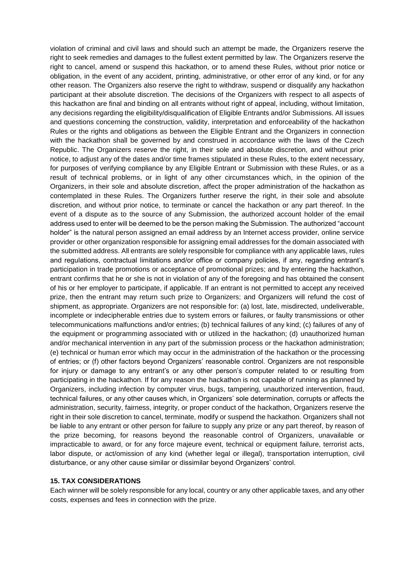violation of criminal and civil laws and should such an attempt be made, the Organizers reserve the right to seek remedies and damages to the fullest extent permitted by law. The Organizers reserve the right to cancel, amend or suspend this hackathon, or to amend these Rules, without prior notice or obligation, in the event of any accident, printing, administrative, or other error of any kind, or for any other reason. The Organizers also reserve the right to withdraw, suspend or disqualify any hackathon participant at their absolute discretion. The decisions of the Organizers with respect to all aspects of this hackathon are final and binding on all entrants without right of appeal, including, without limitation, any decisions regarding the eligibility/disqualification of Eligible Entrants and/or Submissions. All issues and questions concerning the construction, validity, interpretation and enforceability of the hackathon Rules or the rights and obligations as between the Eligible Entrant and the Organizers in connection with the hackathon shall be governed by and construed in accordance with the laws of the Czech Republic. The Organizers reserve the right, in their sole and absolute discretion, and without prior notice, to adjust any of the dates and/or time frames stipulated in these Rules, to the extent necessary, for purposes of verifying compliance by any Eligible Entrant or Submission with these Rules, or as a result of technical problems, or in light of any other circumstances which, in the opinion of the Organizers, in their sole and absolute discretion, affect the proper administration of the hackathon as contemplated in these Rules. The Organizers further reserve the right, in their sole and absolute discretion, and without prior notice, to terminate or cancel the hackathon or any part thereof. In the event of a dispute as to the source of any Submission, the authorized account holder of the email address used to enter will be deemed to be the person making the Submission. The authorized "account holder" is the natural person assigned an email address by an Internet access provider, online service provider or other organization responsible for assigning email addresses for the domain associated with the submitted address. All entrants are solely responsible for compliance with any applicable laws, rules and regulations, contractual limitations and/or office or company policies, if any, regarding entrant's participation in trade promotions or acceptance of promotional prizes; and by entering the hackathon, entrant confirms that he or she is not in violation of any of the foregoing and has obtained the consent of his or her employer to participate, if applicable. If an entrant is not permitted to accept any received prize, then the entrant may return such prize to Organizers; and Organizers will refund the cost of shipment, as appropriate. Organizers are not responsible for: (a) lost, late, misdirected, undeliverable, incomplete or indecipherable entries due to system errors or failures, or faulty transmissions or other telecommunications malfunctions and/or entries; (b) technical failures of any kind; (c) failures of any of the equipment or programming associated with or utilized in the hackathon; (d) unauthorized human and/or mechanical intervention in any part of the submission process or the hackathon administration; (e) technical or human error which may occur in the administration of the hackathon or the processing of entries; or (f) other factors beyond Organizers' reasonable control. Organizers are not responsible for injury or damage to any entrant's or any other person's computer related to or resulting from participating in the hackathon. If for any reason the hackathon is not capable of running as planned by Organizers, including infection by computer virus, bugs, tampering, unauthorized intervention, fraud, technical failures, or any other causes which, in Organizers' sole determination, corrupts or affects the administration, security, fairness, integrity, or proper conduct of the hackathon, Organizers reserve the right in their sole discretion to cancel, terminate, modify or suspend the hackathon. Organizers shall not be liable to any entrant or other person for failure to supply any prize or any part thereof, by reason of the prize becoming, for reasons beyond the reasonable control of Organizers, unavailable or impracticable to award, or for any force majeure event, technical or equipment failure, terrorist acts, labor dispute, or act/omission of any kind (whether legal or illegal), transportation interruption, civil disturbance, or any other cause similar or dissimilar beyond Organizers' control.

#### **15. TAX CONSIDERATIONS**

Each winner will be solely responsible for any local, country or any other applicable taxes, and any other costs, expenses and fees in connection with the prize.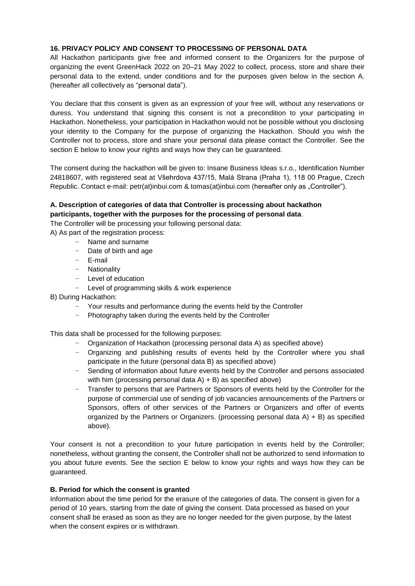# **16. PRIVACY POLICY AND CONSENT TO PROCESSING OF PERSONAL DATA**

All Hackathon participants give free and informed consent to the Organizers for the purpose of organizing the event GreenHack 2022 on 20–21 May 2022 to collect, process, store and share their personal data to the extend, under conditions and for the purposes given below in the section A. (hereafter all collectively as "personal data").

You declare that this consent is given as an expression of your free will, without any reservations or duress. You understand that signing this consent is not a precondition to your participating in Hackathon. Nonetheless, your participation in Hackathon would not be possible without you disclosing your identity to the Company for the purpose of organizing the Hackathon. Should you wish the Controller not to process, store and share your personal data please contact the Controller. See the section E below to know your rights and ways how they can be guaranteed.

The consent during the hackathon will be given to: Insane Business Ideas s.r.o., Identification Number 24818607, with registered seat at Všehrdova 437/15, Malá Strana (Praha 1), 118 00 Prague, Czech Republic. Contact e-mail: petr(at)inbui.com & tomas(at)inbui.com (hereafter only as "Controller").

# **A. Description of categories of data that Controller is processing about hackathon participants, together with the purposes for the processing of personal data**.

The Controller will be processing your following personal data:

A) As part of the registration process:

- − Name and surname
	- − Date of birth and age
	- − E-mail
	- − Nationality
	- − Level of education
	- − Level of programming skills & work experience

B) During Hackathon:

- − Your results and performance during the events held by the Controller
- − Photography taken during the events held by the Controller

This data shall be processed for the following purposes:

- − Organization of Hackathon (processing personal data A) as specified above)
- − Organizing and publishing results of events held by the Controller where you shall participate in the future (personal data B) as specified above)
- − Sending of information about future events held by the Controller and persons associated with him (processing personal data  $A$ ) + B) as specified above)
- − Transfer to persons that are Partners or Sponsors of events held by the Controller for the purpose of commercial use of sending of job vacancies announcements of the Partners or Sponsors, offers of other services of the Partners or Organizers and offer of events organized by the Partners or Organizers. (processing personal data A) + B) as specified above).

Your consent is not a precondition to your future participation in events held by the Controller; nonetheless, without granting the consent, the Controller shall not be authorized to send information to you about future events. See the section E below to know your rights and ways how they can be guaranteed.

### **B. Period for which the consent is granted**

Information about the time period for the erasure of the categories of data. The consent is given for a period of 10 years, starting from the date of giving the consent. Data processed as based on your consent shall be erased as soon as they are no longer needed for the given purpose, by the latest when the consent expires or is withdrawn.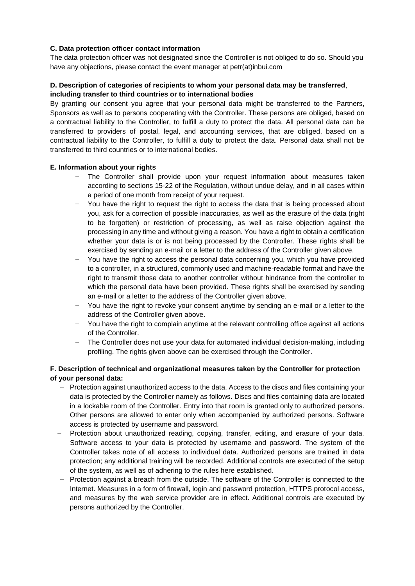# **C. Data protection officer contact information**

The data protection officer was not designated since the Controller is not obliged to do so. Should you have any objections, please contact the event manager at petr(at)inbui.com

### **D. Description of categories of recipients to whom your personal data may be transferred**, **including transfer to third countries or to international bodies**

By granting our consent you agree that your personal data might be transferred to the Partners, Sponsors as well as to persons cooperating with the Controller. These persons are obliged, based on a contractual liability to the Controller, to fulfill a duty to protect the data. All personal data can be transferred to providers of postal, legal, and accounting services, that are obliged, based on a contractual liability to the Controller, to fulfill a duty to protect the data. Personal data shall not be transferred to third countries or to international bodies.

### **E. Information about your rights**

- The Controller shall provide upon your request information about measures taken according to sections 15-22 of the Regulation, without undue delay, and in all cases within a period of one month from receipt of your request.
- You have the right to request the right to access the data that is being processed about you, ask for a correction of possible inaccuracies, as well as the erasure of the data (right to be forgotten) or restriction of processing, as well as raise objection against the processing in any time and without giving a reason. You have a right to obtain a certification whether your data is or is not being processed by the Controller. These rights shall be exercised by sending an e-mail or a letter to the address of the Controller given above.
- You have the right to access the personal data concerning you, which you have provided to a controller, in a structured, commonly used and machine-readable format and have the right to transmit those data to another controller without hindrance from the controller to which the personal data have been provided. These rights shall be exercised by sending an e-mail or a letter to the address of the Controller given above.
- You have the right to revoke your consent anytime by sending an e-mail or a letter to the address of the Controller given above.
- − You have the right to complain anytime at the relevant controlling office against all actions of the Controller.
- The Controller does not use your data for automated individual decision-making, including profiling. The rights given above can be exercised through the Controller.

# **F. Description of technical and organizational measures taken by the Controller for protection of your personal data:**

- − Protection against unauthorized access to the data. Access to the discs and files containing your data is protected by the Controller namely as follows. Discs and files containing data are located in a lockable room of the Controller. Entry into that room is granted only to authorized persons. Other persons are allowed to enter only when accompanied by authorized persons. Software access is protected by username and password.
- − Protection about unauthorized reading, copying, transfer, editing, and erasure of your data. Software access to your data is protected by username and password. The system of the Controller takes note of all access to individual data. Authorized persons are trained in data protection; any additional training will be recorded. Additional controls are executed of the setup of the system, as well as of adhering to the rules here established.
- Protection against a breach from the outside. The software of the Controller is connected to the Internet. Measures in a form of firewall, login and password protection, HTTPS protocol access, and measures by the web service provider are in effect. Additional controls are executed by persons authorized by the Controller.